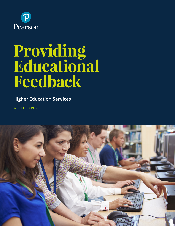

# **Providing Educational Feedback**

**Higher Education Services**

WHITE PAPER

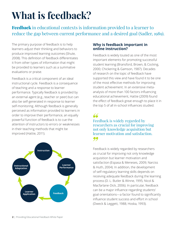## **What is feedback?**

Feedback in educational contexts is information provided to a learner to reduce the gap between current performance and a desired goal (Sadler, 1989).

The primary purpose of feedback is to help learners adjust their thinking and behaviors to produce improved learning outcomes (Shute, 2008). This definition of feedback differentiates it from other types of information that might be provided to learners such as a summative evaluations or praise.

Feedback is a critical component of an ideal instructional cycle. Feedback is a consequence of teaching and a response to learner performance. Typically feedback is provided by an external agent (e.g., teacher or peer) but can also be self-generated in response to learner self-monitoring. Although feedback is generally perceived as information provided to learners in order to improve their performance, an equally powerful function of feedback is to cue the attention of instructors to errors or weaknesses in their teaching methods that might be improved (Hattie, 2011).



#### **Why is feedback important in online instruction?**

Feedback is widely touted as one of the most important elements for promoting successful student learning (Bransford, Brown, & Cocking, 2000; Chickering & Gamson, 1987). Decades of research on the topic of feedback have supported this view and have found it to be one of the most effective methods for improving student achievement. In an extensive metaanalysis of more than 100 factors influencing educational achievement, Hattie (2009) found the effect of feedback great enough to place it in the top 5 of all in-school influences studied.

66 Feedback is widely regarded by researchers as crucial for improving not only knowledge acquisition but learner motivation and satisfaction. 99

Feedback is widely regarded by researchers as crucial for improving not only knowledge acquisition but learner motivation and satisfaction (Espasa & Meneses, 2009; Narciss & Huth, 2004). In addition, the development of self-regulatory learning skills depends on receiving adequate feedback during the learning process (D. L. Butler & Winne, 1995; Nicol & Macfarlane-Dick, 2006). In particular, feedback can be a major influence regarding students' goal orientations—a factor found to significantly influence student success and effort in school (Dweck & Leggett, 1988; Hoska, 1993).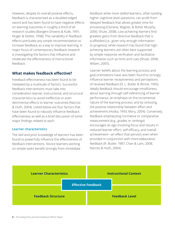However, despite its overall positive effects, feedback is characterized as a doubled-edged sword and has been found to have negative effects on learning outcomes in roughly a third of all research studies (Bangert-Drowns & Kulik, 1991; Kluger & DeNisi, 1998). This variability in feedback effects precludes any simple recommendation to increase feedback as a way to improve learning. A major focus of contemporary feedback research is investigating the factors that influence and moderate the effectiveness of instructional feedback.

#### **What makes feedback effective?**

Feedback effectiveness has been found to be mediated by a multitude of factors. Successful feedback interventions must take into consideration learner, instructional, and structural characteristics to avoid ineffective or even detrimental effects to learner outcomes (Narciss & Huth, 2004). Listed below are four factors that have been found to robustly influence feedback effectiveness as well as a brief discussion of some major findings related to each.

#### **Learner characteristics**

The skill and prior knowledge of learners has been found to powerfully influence the effectiveness of feedback interventions. Novice learners working on simple tasks benefit strongly from immediate

feedback while more skilled learners, often tackling higher cognitive-level questions, can profit from delayed feedback that allows greater time for processing (Clariana, Wagner, & Roher Murphy, 2000; Shute, 2008). Low-achieving learners find greatest gains from directive feedback that is scaffolded (i.e., given only enough information to progress), while research has found that highachieving learners are often best supported by simple response verification and facilitative information such as hints and cues (Shute, 2008; Wiliam, 2005).

Learner beliefs about the learning process and goal orientations have also been found to strongly influence learner receptiveness and perceptions of received feedback (D. L. Butler & Winne, 1995). Ideally feedback should encourage mindfulness about learning through self-referencing of learner performance, an emphasis on the incremental nature of the learning process, and by stressing the positive relationship between effort and achievement (Hoska, 1993; Mory, 2004). Conversely, feedback emphasizing normative or comparative measurement (e.g., grades or rankings) encourages an ego-involving focus and results in reduced learner effort, self-efficacy, and overall achievement—an effect that persists even when provided in conjunction with more elaborative feedback (R. Butler, 1987; Chan & Lam, 2008; Narciss & Huth, 2004).

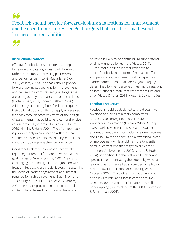66

Feedback should provide forward-looking suggestions for improvement and be used to inform revised goal targets that are at, or just beyond, learners' current abilities.



#### **Instructional context**

Effective feedback must include next steps for learners, indicating a clear path forward, rather than simply addressing past errors and performance (Nicol & Macfarlane-Dick, 2006; Wiliam, 2005). Feedback should provide forward-looking suggestions for improvement and be used to inform revised goal targets that are at, or just beyond, learners' current abilities (Hattie & Gan, 2011; Locke & Latham, 1990). Additionally, benefiting from feedback requires instructional opportunities for applying received feedback through practice efforts or the design of assignments that build toward comprehensive course projects (Ambrose, Bridges, & DiPietro, 2010; Narciss & Huth, 2004). Too often feedback is provided only in conjunction with terminal summative assessments which deny learners the opportunity to improve their performance.

Good feedback reduces learner uncertainty regarding current performance level and a desired goal (Bangert-Drowns & Kulik, 1991). Clear and challenging academic goals, in conjunction with frequent feedback, are crucial factors in sustaining the levels of learner engagement and interest required for high achievement (Black & Wiliam, 1998; Kluger & DeNisi, 1996; Locke & Latham, 2002). Feedback provided in an instructional context characterized by unclear or trivial goals,

however, is likely to be confusing, misunderstood, or simply ignored by learners (Hattie, 2011). Furthermore, positive learner response to critical feedback, in the form of increased effort and persistence, has been found to depend on learner commitment to academic goals, largely determined by their perceived meaningfulness, and an instructional climate that embraces failure and error (Hattie & Yates, 2014; Kluger & DeNisi, 1996).

#### **Feedback structure**

Feedback should be designed to avoid cognitive overload and be as minimally complex as necessary to convey needed corrective or elaboration information (Kulhavy, White, & Topp, 1985; Sweller, Merrienboer, & Paas, 1998). The amount of feedback information a learner receives should be limited and focus on a few critical areas of improvement while avoiding more tangential or trivial corrections that might divert learner attention (Ambrose et al., 2010; Narciss & Huth, 2004). In addition, feedback should be clear and specific in communicating the criteria by which a learner's performance has succeeded or failed in order to avoid frustrating or confusing learners (Moreno, 2004). Evaluative information without clear links to relevant success criteria are likely to lead to poor learner performance and selfhandicapping (Lipnevich & Smith, 2009; Thompson & Richardson, 2001).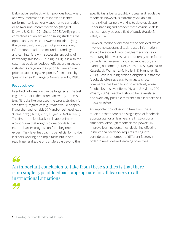Elaborative feedback, which provides how, when, and why information in response to leaner performance, is generally superior to corrective or answer-until-correct feedback (Bangert-Drowns & Kulik, 1991; Shute, 2008). Verifying the correctness of an answer or giving students the opportunity to select answers until identifying the correct solution does not provide enough information to address misunderstandings and can interfere with successful encoding of knowledge (Mason & Bruning, 2001). It is also the case that positive feedback effects are mitigated if students are given the option to view answers prior to submitting a response, for instance by "peeking ahead" (Bangert-Drowns & Kulik, 1991).

#### **Feedback level**

Feedback information can be targeted at the task (e.g., "Yes, that is the correct answer."), process (e.g., "It looks like you used the wrong strategy for step two."), regulative (e.g., "What would happen if you changed variable X?") and/or self level (e.g., "Great job!") (Hattie, 2011; Kluger & DeNisi, 1996). The first three feedback levels approximate a continuum that roughly corresponds to the natural learner progression from beginner to expert. Task level feedback is beneficial for novice learners working on simple tasks but is not readily generalizable or transferable beyond the

specific tasks being taught. Process and regulative feedback, however, is extremely valuable to more skilled learners working to develop deeper understanding and broader meta-cognitive skills that can apply across a field of study (Hattie & Yates, 2014).

However, feedback directed at the self level, which involves no substantial task-related information, should be avoided. Providing learners praise or more tangible rewards has consistently been found to hinder achievement, intrinsic motivation, and learning outcomes (E. Deci, Koestner, & Ryan, 2001; Kessels, U., Warner, L.M., Holle, J., & Hannover, B., 2008). Even including praise alongside substantive feedback, often as a way to mitigate critical comments, has been found to effectively erase feedback's positive effects (Hyland & Hyland, 2001; Wiliam, 2005). Feedback should be task-related and avoid any possible reference to a learner's selfimage or esteem.

An important conclusion to take from these studies is that there is no single type of feedback appropriate for all learners in all instructional situations. Although feedback can powerfully improve learning outcomes, designing effective instructional feedback requires taking into consideration a number of different factors in order to meet desired learning objectives.

### 66

An important conclusion to take from these studies is that there is no single type of feedback appropriate for all learners in all instructional situations.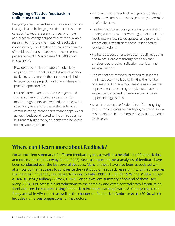#### **Designing effective feedback in online instruction**

Designing effective feedback for online instruction is a significant challenge given time and resource constraints. Yet there are a number of simple and practical changes supported by the available research to improve the impact of feedback in online learning. For lengthier discussions of many of the ideas discussed below, see the excellent papers by Nicol & Macfarlane-Dick (2006) and Hoska (1993).

- Provide opportunities to apply feedback by requiring that students submit drafts of papers, designing assignments that incrementally build to larger course projects, and offering frequent practice opportunities.
- Ensure learners are provided clear goals and success criteria through the use of rubrics, model assignments, and worked examples while specifically referencing these elements when communicating learner performance gaps. Avoid general feedback directed to the entire class, as it is generally ignored by students who believe it doesn't apply to them.
- Avoid associating feedback with grades, praise, or comparative measures that significantly undermine its effectiveness.
- Use feedback to encourage a learning orientation among students by incorporating opportunities for resubmission, low-stakes quizzes, and providing grades only after students have responded to received feedback.
- Facilitate student efforts to become self-regulating and mindful learners through feedback that employs peer grading, reflection activities, and self-evaluations.
- Ensure that any feedback provided to students minimizes cognitive load by limiting the number of assessment criteria, prioritizing areas of learner improvement, presenting complex feedback in sequential steps, and focusing on two or three important suggestions.
- As an instructor, use feedback to inform ongoing instructional choices by identifying common learner misunderstandings and topics that cause students to struggle.

#### **Where can I learn more about feedback?**

For an excellent summary of different feedback types, as well as a helpful list of feedback dos and don'ts, see the review by Shute (2008). Several important meta-analyses of feedback have been conducted over the last several decades. Many of these have also been associated with attempts by their authors to synthesize the vast body of feedback research into unified theories. For the most influential, see Bangert-Drowns & Kulik (1991); D. L. Butler & Winne, (1995); Kluger & DeNisi, (1996); Kulhavy & Stock, (1989). For an excellent summary of several of these, see Mory (2004). For accessible introductions to the complex and often contradictory literature on feedback, see the chapter, "Using Feedback to Promote Learning" Hattie & Yates (2014) in the freely available APA report, as well as the chapter on feedback in Ambrose et al., (2010), which includes numerous suggestions for instructors.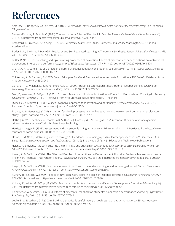### **References**

Ambrose, S., Bridges, M., & DiPietro, M. (2010). *How learning works: Seven research-based principles for smart teaching.* San Francisco, CA: Jossey-Bass.

Bangert-Drowns, R., & Kulik, C. (1991). The Instructional Effect of Feedback in Test-like Events. *Review of Educational Research, 61,* 213–238. Retrieved from http://rer.sagepub.com/content/61/2/213.short

Bransford, J., Brown, A., & Cocking, R. (2000). *How People Learn: Brain, Mind, Experience, and School.* Washington, D.C: National Academy Press.

Butler, D. L., & Winne, P. H. (1995). Feedback and Self-Regulated Learning: A Theoretical Synthesis. *Review of Educational Research, 65*, 245–281. doi:10.3102/00346543065003245

Butler, R. (1987). Task-involving and ego-involving properties of evaluation: Effects of different feedback conditions on motivational perceptions, interest, and performance. *Journal of Educational Psychology, 79*, 474–482. doi:10.1037//0022-0663.79.4.474

Chan, J. C. Y., & Lam, S. (2008). Effects of different evaluative feedback on students' self-efficacy in learning. *Instructional Science, 38*, 37–58. doi:10.1007/s11251-008-9077-2

Chickering, A., & Gamson, Z. (1987). Seven Principles For Good Practice in Undergraduate Education. *AAHE Bulletin.* Retrieved from http://eric.ed.gov/?id=ED282491

Clariana, R. B., Wagner, D., & Roher Murphy, L. C. (2000). Applying a connectionist description of feedback timing. *Educational Technology Research and Development, 48*(3), 5–22. doi:10.1007/BF02319855

Deci, E., Koestner, R., & Ryan, R. (2001). Extrinsic Rewards and Intrinsic Motivation in Education: Reconsidered Once Again. *Review of Educational Research, 71*, 1-27. Retrieved from http://rer.sagepub.com/content/71/1/1.short

Dweck, C., & Leggett, E. (1988). A social-cognitive approach to motivation and personality. *Psychological Review, 95*, 256–273. Retrieved from http://psycnet.apa.org/journals/rev/95/2/256/

Espasa, A., & Meneses, J. (2009). Analysing feedback processes in an online teaching and learning environment: an exploratory study. *Higher Education, 59*, 277–292. doi:10.1007/s10734-009-9247-4

Hattie, J. (2011). Feedback in schools. In R. Sutton, M.J. Hornsey, & K.M. Douglas (Eds.), *Feedback: The communication of praise, criticism, and advice*. New York, NY: Peter Lang Publishing.

Hattie, J. & Jaeger, R. (1998). Assessment and classroom learning. *Assessment in Education, 5*, 111–121. Retrieved from http://www. tandfonline.com/doi/abs/10.1080/0969595980050102

Hoska, D. M. (1993). Motivating learners through CBI feedback: Developing a positive learner perspective. In V. Dempsey & G. C. Sales (Eds.), *Interactive instruction and feedback* (pp. 105–132). Englewood Cliffs, N.J.: Educational Technology Publications.

Hyland, F., & Hyland, K. (2001). Sugaring the pill: Praise and criticism in written feedback. *Journal of Second Language Writing, 10,*  185–212. Retrieved from http://www.sciencedirect.com/science/article/pii/S1060374301000388

Kluger, A., & DeNisi, A. (1996). The Effects of Feedback Interventions on Performance: A Historical Review, a Meta-Analysis, and a Preliminary Feedback Intervention Theory. *Psychological Bulletin, 119*, 254–284. Retrieved from http://psycnet.apa.org/journals/ bul/119/2/254/

Kluger, A., & DeNisi, A. (1998). Feedback interventions: Toward the understanding of a double-edged sword. *Current Directions in Psychological Science, 7*, 67-72. Retrieved from http://www.jstor.org/stable/20182507

Kulhavy, R., & Stock, W. (1989). Feedback in written instruction: The place of response certitude. *Educational Psychology Review, 1*, 279–308. Retrieved from http://link.springer.com/article/10.1007/BF01320096

Kulhavy, R., White, M., & Topp, B. (1985). Feedback complexity and corrective efficiency. *Contemporary Educational Psychology, 10,*  285–291. Retrieved from http://www.sciencedirect.com/science/article/pii/0361476X85900256

Lipnevich, A. a, & Smith, J. K. (2009). Effects of differential feedback on students' examination performance. *Journal of Experimental Psychology. Applied, 15,* 319–33. doi:10.1037/a0017841

Locke, E. a., & Latham, G. P. (2002). Building a practically useful theory of goal setting and task motivation: A 35-year odyssey. *American Psychologist, 57*, 705–717. doi:10.1037//0003-066X.57.9.705